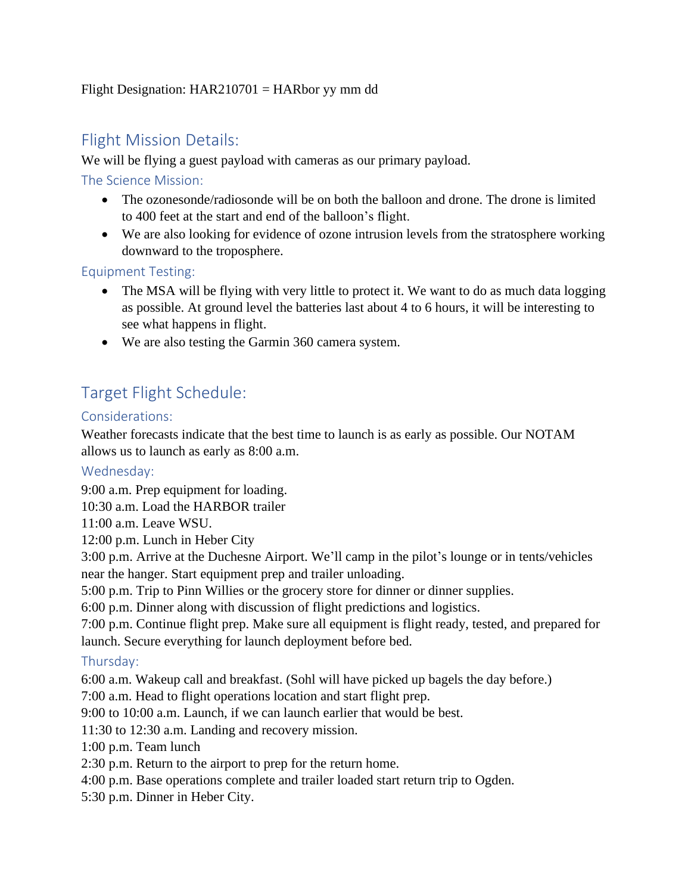#### Flight Designation:  $HAR210701 = HARbor$  yy mm dd

## Flight Mission Details:

We will be flying a guest payload with cameras as our primary payload.

The Science Mission:

- The ozonesonde/radiosonde will be on both the balloon and drone. The drone is limited to 400 feet at the start and end of the balloon's flight.
- We are also looking for evidence of ozone intrusion levels from the stratosphere working downward to the troposphere.

Equipment Testing:

- The MSA will be flying with very little to protect it. We want to do as much data logging as possible. At ground level the batteries last about 4 to 6 hours, it will be interesting to see what happens in flight.
- We are also testing the Garmin 360 camera system.

# Target Flight Schedule:

#### Considerations:

Weather forecasts indicate that the best time to launch is as early as possible. Our NOTAM allows us to launch as early as 8:00 a.m.

### Wednesday:

9:00 a.m. Prep equipment for loading.

10:30 a.m. Load the HARBOR trailer

11:00 a.m. Leave WSU.

12:00 p.m. Lunch in Heber City

3:00 p.m. Arrive at the Duchesne Airport. We'll camp in the pilot's lounge or in tents/vehicles near the hanger. Start equipment prep and trailer unloading.

5:00 p.m. Trip to Pinn Willies or the grocery store for dinner or dinner supplies.

6:00 p.m. Dinner along with discussion of flight predictions and logistics.

7:00 p.m. Continue flight prep. Make sure all equipment is flight ready, tested, and prepared for launch. Secure everything for launch deployment before bed.

### Thursday:

6:00 a.m. Wakeup call and breakfast. (Sohl will have picked up bagels the day before.)

7:00 a.m. Head to flight operations location and start flight prep.

9:00 to 10:00 a.m. Launch, if we can launch earlier that would be best.

11:30 to 12:30 a.m. Landing and recovery mission.

1:00 p.m. Team lunch

2:30 p.m. Return to the airport to prep for the return home.

4:00 p.m. Base operations complete and trailer loaded start return trip to Ogden.

5:30 p.m. Dinner in Heber City.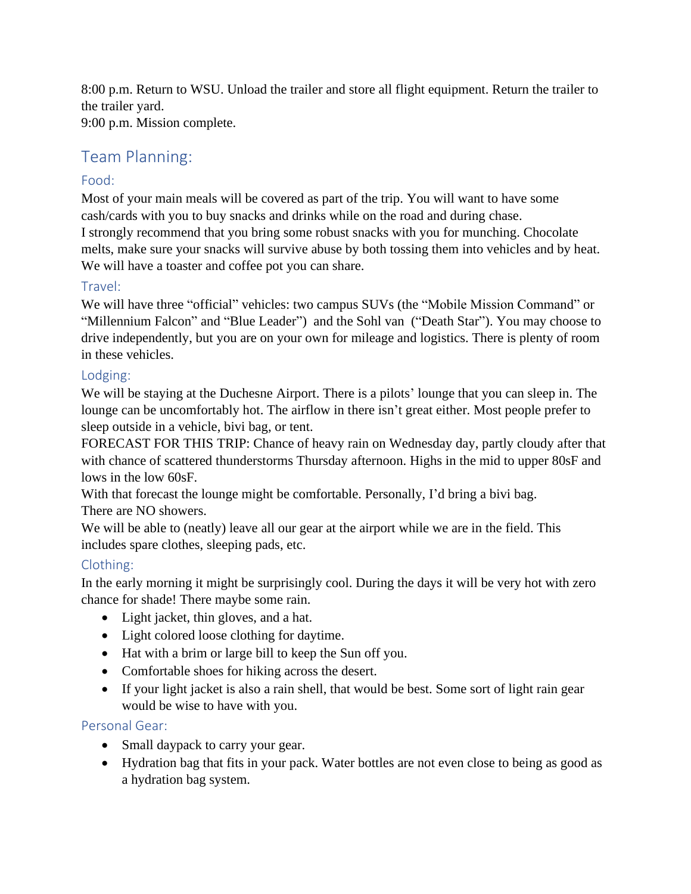8:00 p.m. Return to WSU. Unload the trailer and store all flight equipment. Return the trailer to the trailer yard.

9:00 p.m. Mission complete.

## Team Planning:

## Food:

Most of your main meals will be covered as part of the trip. You will want to have some cash/cards with you to buy snacks and drinks while on the road and during chase. I strongly recommend that you bring some robust snacks with you for munching. Chocolate melts, make sure your snacks will survive abuse by both tossing them into vehicles and by heat. We will have a toaster and coffee pot you can share.

### Travel:

We will have three "official" vehicles: two campus SUVs (the "Mobile Mission Command" or "Millennium Falcon" and "Blue Leader") and the Sohl van ("Death Star"). You may choose to drive independently, but you are on your own for mileage and logistics. There is plenty of room in these vehicles.

## Lodging:

We will be staying at the Duchesne Airport. There is a pilots' lounge that you can sleep in. The lounge can be uncomfortably hot. The airflow in there isn't great either. Most people prefer to sleep outside in a vehicle, bivi bag, or tent.

FORECAST FOR THIS TRIP: Chance of heavy rain on Wednesday day, partly cloudy after that with chance of scattered thunderstorms Thursday afternoon. Highs in the mid to upper 80sF and lows in the low 60sF.

With that forecast the lounge might be comfortable. Personally, I'd bring a bivi bag. There are NO showers.

We will be able to (neatly) leave all our gear at the airport while we are in the field. This includes spare clothes, sleeping pads, etc.

## Clothing:

In the early morning it might be surprisingly cool. During the days it will be very hot with zero chance for shade! There maybe some rain.

- Light jacket, thin gloves, and a hat.
- Light colored loose clothing for daytime.
- Hat with a brim or large bill to keep the Sun off you.
- Comfortable shoes for hiking across the desert.
- If your light jacket is also a rain shell, that would be best. Some sort of light rain gear would be wise to have with you.

### Personal Gear:

- Small daypack to carry your gear.
- Hydration bag that fits in your pack. Water bottles are not even close to being as good as a hydration bag system.